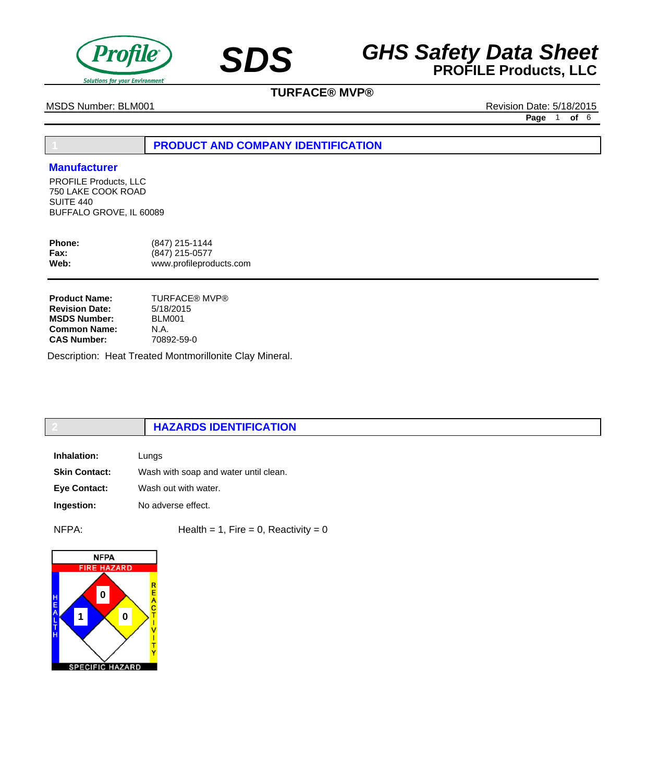

## **SDS GHS Safety Data Sheet**<br>**PROFILE Products, LLC**

## **TURFACE® MVP®**

MSDS Number: BLM001 **Revision Date: 5/18/2015** 

**Page** 1 **of** 6

## **1 PRODUCT AND COMPANY IDENTIFICATION**

#### **Manufacturer**

PROFILE Products, LLC 750 LAKE COOK ROAD SUITE 440 BUFFALO GROVE, IL 60089

| <b>Phone:</b> | (847) 215-1144          |
|---------------|-------------------------|
| <b>Fax:</b>   | (847) 215-0577          |
| Web:          | www.profileproducts.com |

| <b>Product Name:</b>  | TURFACE® MVP® |
|-----------------------|---------------|
| <b>Revision Date:</b> | 5/18/2015     |
| <b>MSDS Number:</b>   | <b>BLM001</b> |
| <b>Common Name:</b>   | N.A.          |
| <b>CAS Number:</b>    | 70892-59-0    |

Description: Heat Treated Montmorillonite Clay Mineral.

## **2 HAZARDS IDENTIFICATION**

| Inhalation:          | Lungs                                 |
|----------------------|---------------------------------------|
| <b>Skin Contact:</b> | Wash with soap and water until clean. |
| <b>Eve Contact:</b>  | Wash out with water.                  |
| Ingestion:           | No adverse effect.                    |

 $NFPA:$  Health = 1, Fire = 0, Reactivity = 0

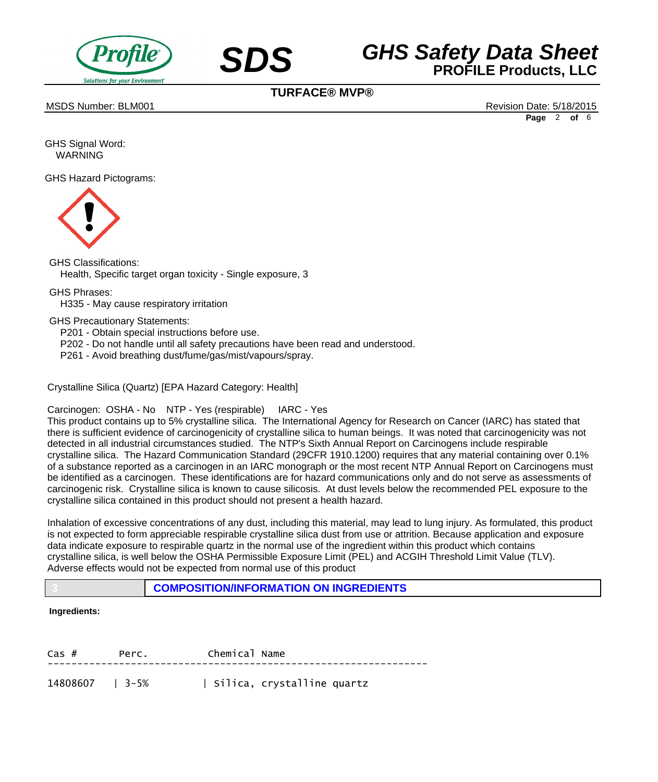



**TURFACE® MVP®**

MSDS Number: BLM001 **Review of the Contract of the Contract of the Contract of the Contract of the Contract of the Contract of the Contract of the Revision Date: 5/18/2015** 

**Page** 2 **of** 6

GHS Signal Word: WARNING

GHS Hazard Pictograms:



GHS Classifications: Health, Specific target organ toxicity - Single exposure, 3

GHS Phrases:

 H335 - May cause respiratory irritation

GHS Precautionary Statements:

 P201 - Obtain special instructions before use.

- P202 Do not handle until all safety precautions have been read and understood.
- P261 Avoid breathing dust/fume/gas/mist/vapours/spray.

Crystalline Silica (Quartz) [EPA Hazard Category: Health]

Carcinogen: OSHA - No NTP - Yes (respirable) IARC - Yes

This product contains up to 5% crystalline silica. The International Agency for Research on Cancer (IARC) has stated that there is sufficient evidence of carcinogenicity of crystalline silica to human beings. It was noted that carcinogenicity was not detected in all industrial circumstances studied. The NTP's Sixth Annual Report on Carcinogens include respirable crystalline silica. The Hazard Communication Standard (29CFR 1910.1200) requires that any material containing over 0.1% of a substance reported as a carcinogen in an IARC monograph or the most recent NTP Annual Report on Carcinogens must be identified as a carcinogen. These identifications are for hazard communications only and do not serve as assessments of carcinogenic risk. Crystalline silica is known to cause silicosis. At dust levels below the recommended PEL exposure to the crystalline silica contained in this product should not present a health hazard.

Inhalation of excessive concentrations of any dust, including this material, may lead to lung injury. As formulated, this product is not expected to form appreciable respirable crystalline silica dust from use or attrition. Because application and exposure data indicate exposure to respirable quartz in the normal use of the ingredient within this product which contains crystalline silica, is well below the OSHA Permissible Exposure Limit (PEL) and ACGIH Threshold Limit Value (TLV). Adverse effects would not be expected from normal use of this product

**3 COMPOSITION/INFORMATION ON INGREDIENTS**

#### **Ingredients:**

| $\cos$ #        | Perc. | Chemical Name |                            |
|-----------------|-------|---------------|----------------------------|
| 14808607   3-5% |       |               | Silica, crystalline quartz |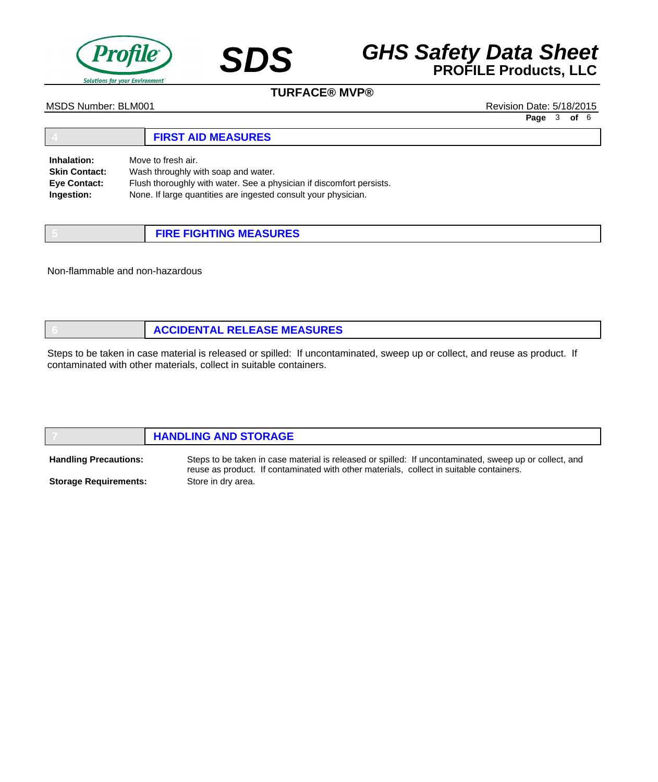

# **SDS GHS Safety Data Sheet**<br>**PROFILE Products, LLC**

### **TURFACE® MVP®**

MSDS Number: BLM001 **Review of the Contract of the Contract of the Contract of the Contract of the Contract of the Contract of the Contract of the Revision Date: 5/18/2015** 

**Page** 3 **of** 6

#### **4 FIRST AID MEASURES** Move to fresh air. Wash throughly with soap and water. Flush thoroughly with water. See a physician if discomfort persists. None. If large quantities are ingested consult your physician. **Inhalation: Skin Contact: Eye Contact: Ingestion:**

| <b>FIRE FIGHTING MEASURES</b> |
|-------------------------------|

Non-flammable and non-hazardous

| <b>ACCIDENTAL RELEASE MEASURES</b> |
|------------------------------------|
|                                    |

Steps to be taken in case material is released or spilled: If uncontaminated, sweep up or collect, and reuse as product. If contaminated with other materials, collect in suitable containers.

|                              | <b>HANDLING AND STORAGE</b>                                                                            |  |
|------------------------------|--------------------------------------------------------------------------------------------------------|--|
| <b>Handling Precautions:</b> | Steps to be taken in case material is released or spilled: If uncontaminated, sweep up or collect, and |  |

**Storage Requirements:**

reuse as product. If contaminated with other materials, collect in suitable containers. Store in dry area.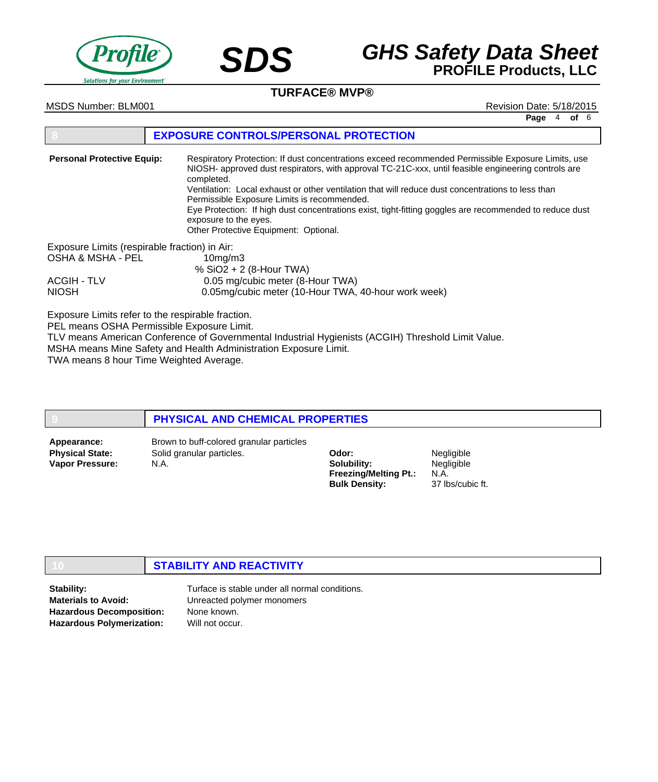



### **TURFACE® MVP®**

MSDS Number: BLM001 **Review of the Contract of the Contract of the Contract of the Contract of the Contract of the Contract of the Contract of the Revision Date: 5/18/2015** 

**Page** 4 **of** 6

#### **8 EXPOSURE CONTROLS/PERSONAL PROTECTION**

Respiratory Protection: If dust concentrations exceed recommended Permissible Exposure Limits, use NIOSH- approved dust respirators, with approval TC-21C-xxx, until feasible engineering controls are completed. Ventilation: Local exhaust or other ventilation that will reduce dust concentrations to less than Permissible Exposure Limits is recommended. Eye Protection: If high dust concentrations exist, tight-fitting goggles are recommended to reduce dust exposure to the eyes. Other Protective Equipment: Optional. Exposure Limits (respirable fraction) in Air: OSHA & MSHA - PEL 10mg/m3 % SiO2 + 2 (8-Hour TWA) ACGIH - TLV 0.05 mg/cubic meter (8-Hour TWA) NIOSH 0.05mg/cubic meter (10-Hour TWA, 40-hour work week) **Personal Protective Equip:**

Exposure Limits refer to the respirable fraction.

PEL means OSHA Permissible Exposure Limit.

TLV means American Conference of Governmental Industrial Hygienists (ACGIH) Threshold Limit Value. MSHA means Mine Safety and Health Administration Exposure Limit.

TWA means 8 hour Time Weighted Average.

#### **9 PHYSICAL AND CHEMICAL PROPERTIES**

**Physical State: Vapor Pressure:**

Solid granular particles. N.A. **Appearance:** Brown to buff-colored granular particles

**Odor: Solubility: Freezing/Melting Pt.: Bulk Density:** N.A.

Negligible **Negligible** 37 lbs/cubic ft.

### **10 STABILITY AND REACTIVITY**

**Stability: Materials to Avoid: Hazardous Decomposition:**

**Hazardous Polymerization:**

Turface is stable under all normal conditions. Unreacted polymer monomers None known. Will not occur.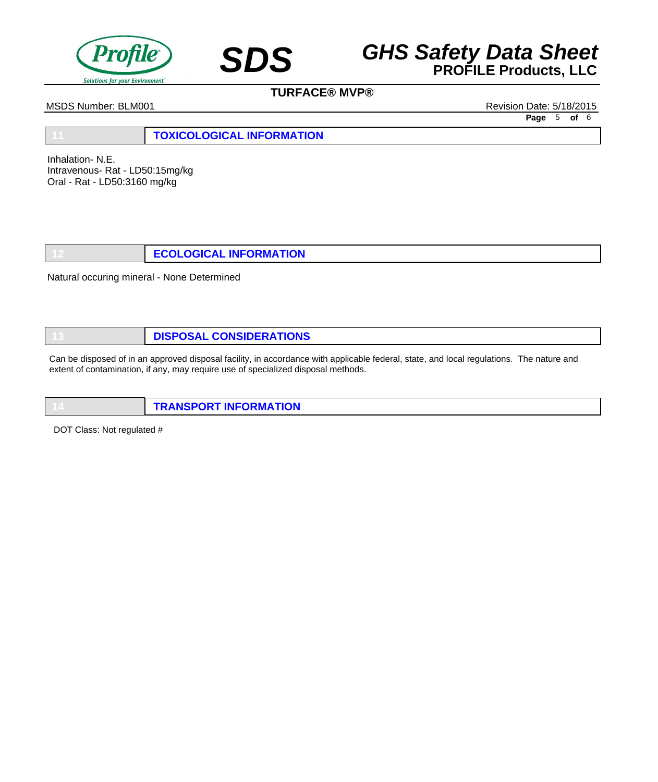

## **SDS GHS Safety Data Sheet**<br>**PROFILE Products, LLC**

## **TURFACE® MVP®**

MSDS Number: BLM001 Revision Date: 5/18/2015

**Page** 5 **of** 6

**11 TOXICOLOGICAL INFORMATION**

Inhalation- N.E. Intravenous- Rat - LD50:15mg/kg Oral - Rat - LD50:3160 mg/kg

**12 ECOLOGICAL INFORMATION**

Natural occuring mineral - None Determined

**13 DISPOSAL CONSIDERATIONS**

Can be disposed of in an approved disposal facility, in accordance with applicable federal, state, and local regulations. The nature and extent of contamination, if any, may require use of specialized disposal methods.

**14 TRANSPORT INFORMATION**

DOT Class: Not regulated #